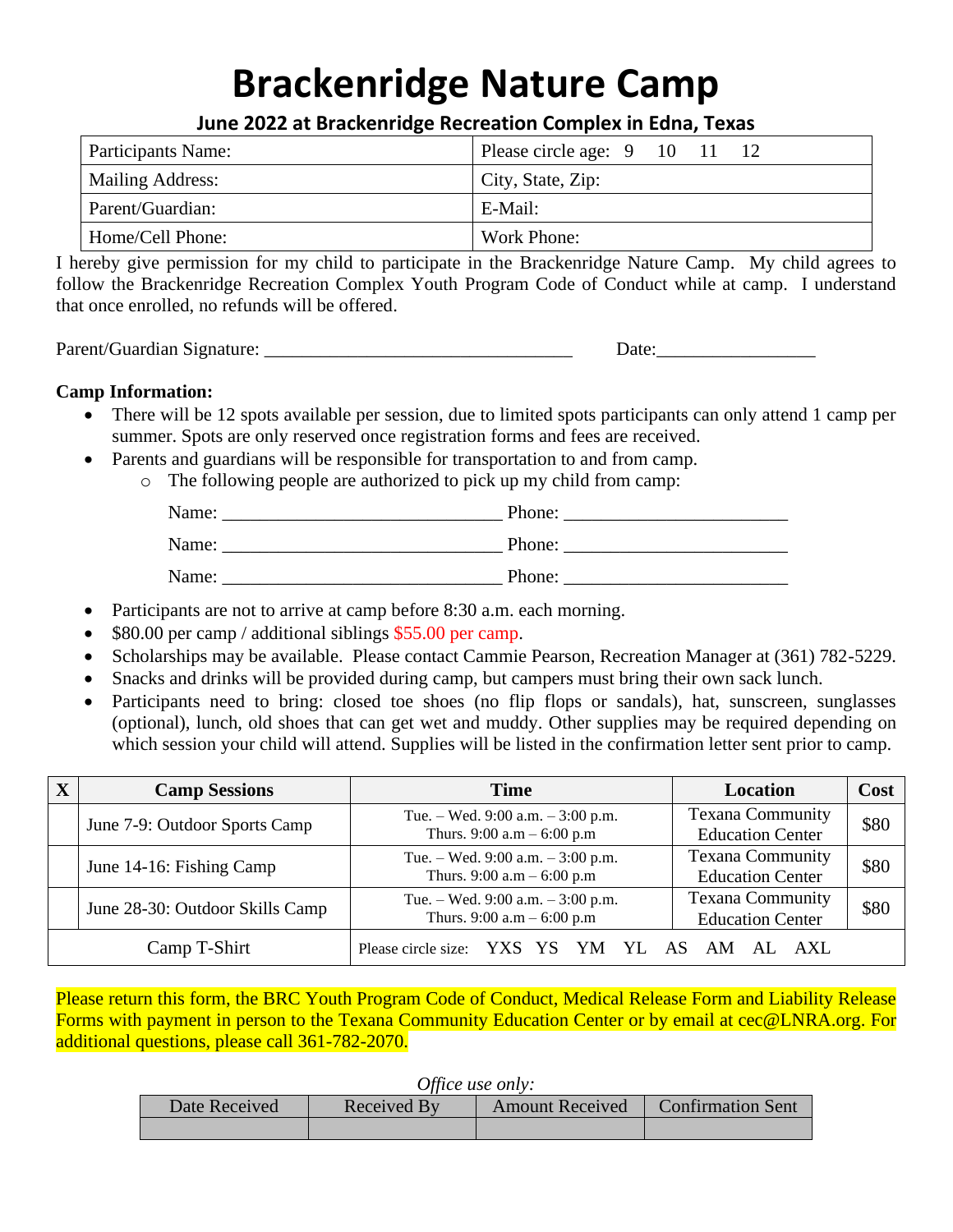# **Brackenridge Nature Camp**

| June 2022 at Brackenridge Recreation Complex in Edna, Texas |  |
|-------------------------------------------------------------|--|
|-------------------------------------------------------------|--|

| Participants Name: | Please circle age: $9 \quad 10 \quad 11$ |
|--------------------|------------------------------------------|
| Mailing Address:   | $\Gamma$ City, State, Zip:               |
| Parent/Guardian:   | E-Mail:                                  |
| Home/Cell Phone:   | Work Phone:                              |

I hereby give permission for my child to participate in the Brackenridge Nature Camp. My child agrees to follow the Brackenridge Recreation Complex Youth Program Code of Conduct while at camp. I understand that once enrolled, no refunds will be offered.

Parent/Guardian Signature: \_\_\_\_\_\_\_\_\_\_\_\_\_\_\_\_\_\_\_\_\_\_\_\_\_\_\_\_\_\_\_\_\_ Date:\_\_\_\_\_\_\_\_\_\_\_\_\_\_\_\_\_

#### **Camp Information:**

- There will be 12 spots available per session, due to limited spots participants can only attend 1 camp per summer. Spots are only reserved once registration forms and fees are received.
- Parents and guardians will be responsible for transportation to and from camp.
	- o The following people are authorized to pick up my child from camp:

| Name: | Phone: |
|-------|--------|
| Name: | Phone: |
| Name: | Phone: |

- Participants are not to arrive at camp before 8:30 a.m. each morning.
- \$80.00 per camp / additional siblings \$55.00 per camp.
- Scholarships may be available. Please contact Cammie Pearson, Recreation Manager at (361) 782-5229.
- Snacks and drinks will be provided during camp, but campers must bring their own sack lunch.
- Participants need to bring: closed toe shoes (no flip flops or sandals), hat, sunscreen, sunglasses (optional), lunch, old shoes that can get wet and muddy. Other supplies may be required depending on which session your child will attend. Supplies will be listed in the confirmation letter sent prior to camp.

| <b>Camp Sessions</b>            | <b>Time</b>                                                       | <b>Location</b>                                    | Cost |
|---------------------------------|-------------------------------------------------------------------|----------------------------------------------------|------|
| June 7-9: Outdoor Sports Camp   | Tue. – Wed. 9:00 a.m. – 3:00 p.m.<br>Thurs. 9:00 $a.m - 6:00 p.m$ | <b>Texana Community</b><br><b>Education Center</b> | \$80 |
| June 14-16: Fishing Camp        | Tue. – Wed. 9:00 a.m. – 3:00 p.m.<br>Thurs. 9:00 $a.m - 6:00 p.m$ | <b>Texana Community</b><br><b>Education Center</b> | \$80 |
| June 28-30: Outdoor Skills Camp | Tue. – Wed. 9:00 a.m. – 3:00 p.m.<br>Thurs. 9:00 $a.m - 6:00 p.m$ | <b>Texana Community</b><br><b>Education Center</b> | \$80 |
| Camp T-Shirt                    | Please circle size: YXS YS YM YL AS                               | AM<br>AXL                                          |      |

Please return this form, the BRC Youth Program Code of Conduct, Medical Release Form and Liability Release Forms with payment in person to the Texana Community Education Center or by email at cec@LNRA.org. For additional questions, please call 361-782-2070.

| Office use only: |  |  |
|------------------|--|--|
|------------------|--|--|

| $\sim$ 11000 0000 0100 11 |             |                        |                          |  |
|---------------------------|-------------|------------------------|--------------------------|--|
| Date Received             | Received By | <b>Amount Received</b> | <b>Confirmation Sent</b> |  |
|                           |             |                        |                          |  |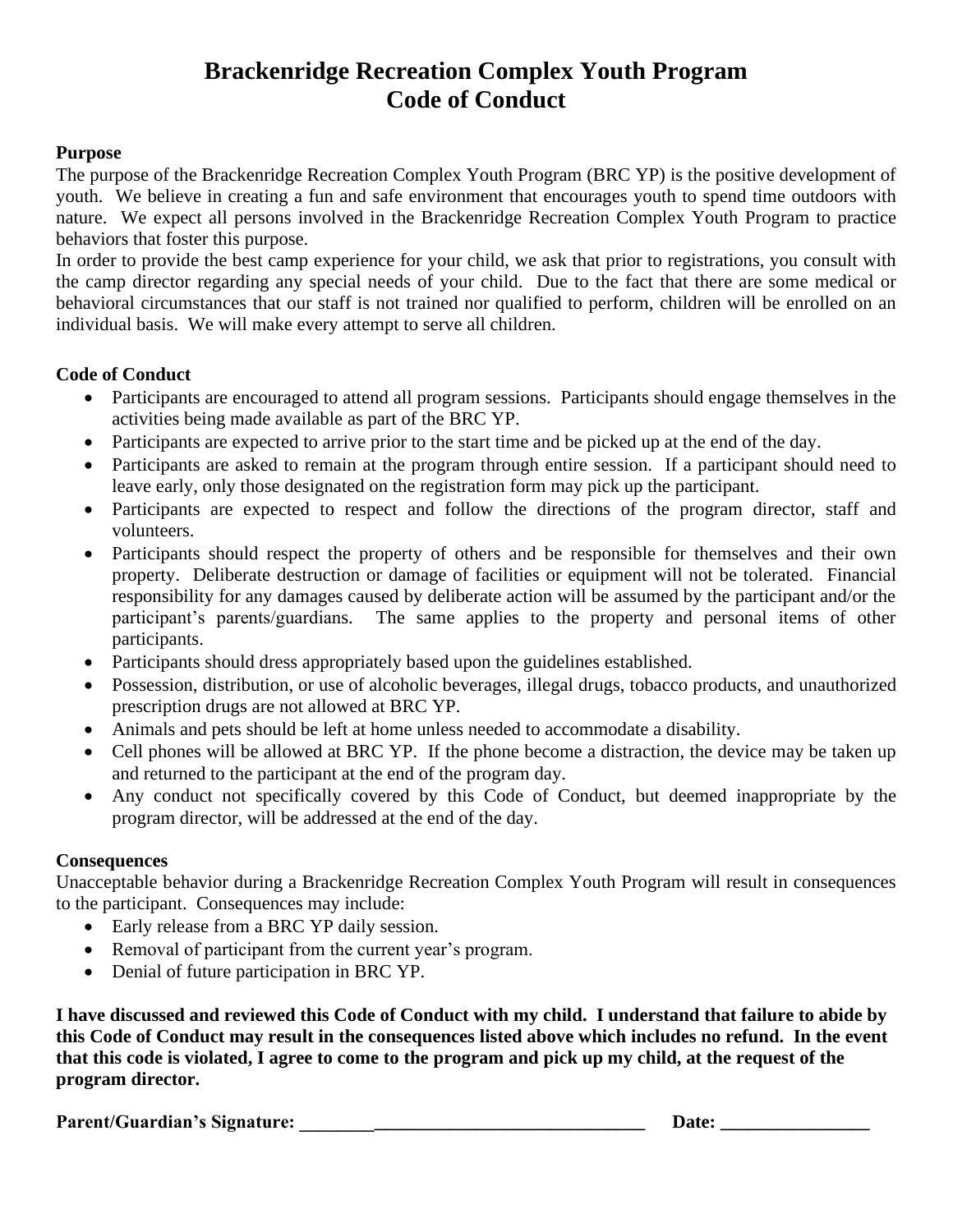# **Brackenridge Recreation Complex Youth Program Code of Conduct**

#### **Purpose**

The purpose of the Brackenridge Recreation Complex Youth Program (BRC YP) is the positive development of youth. We believe in creating a fun and safe environment that encourages youth to spend time outdoors with nature. We expect all persons involved in the Brackenridge Recreation Complex Youth Program to practice behaviors that foster this purpose.

In order to provide the best camp experience for your child, we ask that prior to registrations, you consult with the camp director regarding any special needs of your child. Due to the fact that there are some medical or behavioral circumstances that our staff is not trained nor qualified to perform, children will be enrolled on an individual basis. We will make every attempt to serve all children.

#### **Code of Conduct**

- Participants are encouraged to attend all program sessions. Participants should engage themselves in the activities being made available as part of the BRC YP.
- Participants are expected to arrive prior to the start time and be picked up at the end of the day.
- Participants are asked to remain at the program through entire session. If a participant should need to leave early, only those designated on the registration form may pick up the participant.
- Participants are expected to respect and follow the directions of the program director, staff and volunteers.
- Participants should respect the property of others and be responsible for themselves and their own property. Deliberate destruction or damage of facilities or equipment will not be tolerated. Financial responsibility for any damages caused by deliberate action will be assumed by the participant and/or the participant's parents/guardians. The same applies to the property and personal items of other participants.
- Participants should dress appropriately based upon the guidelines established.
- Possession, distribution, or use of alcoholic beverages, illegal drugs, tobacco products, and unauthorized prescription drugs are not allowed at BRC YP.
- Animals and pets should be left at home unless needed to accommodate a disability.
- Cell phones will be allowed at BRC YP. If the phone become a distraction, the device may be taken up and returned to the participant at the end of the program day.
- Any conduct not specifically covered by this Code of Conduct, but deemed inappropriate by the program director, will be addressed at the end of the day.

#### **Consequences**

Unacceptable behavior during a Brackenridge Recreation Complex Youth Program will result in consequences to the participant. Consequences may include:

- Early release from a BRC YP daily session.
- Removal of participant from the current year's program.
- Denial of future participation in BRC YP.

**I have discussed and reviewed this Code of Conduct with my child. I understand that failure to abide by this Code of Conduct may result in the consequences listed above which includes no refund. In the event that this code is violated, I agree to come to the program and pick up my child, at the request of the program director.**

**Parent/Guardian's Signature: \_\_\_\_\_\_\_\_\_\_\_\_\_\_\_\_\_\_\_\_\_\_\_\_\_\_\_\_\_\_\_\_\_\_\_\_\_ Date: \_\_\_\_\_\_\_\_\_\_\_\_\_\_\_\_**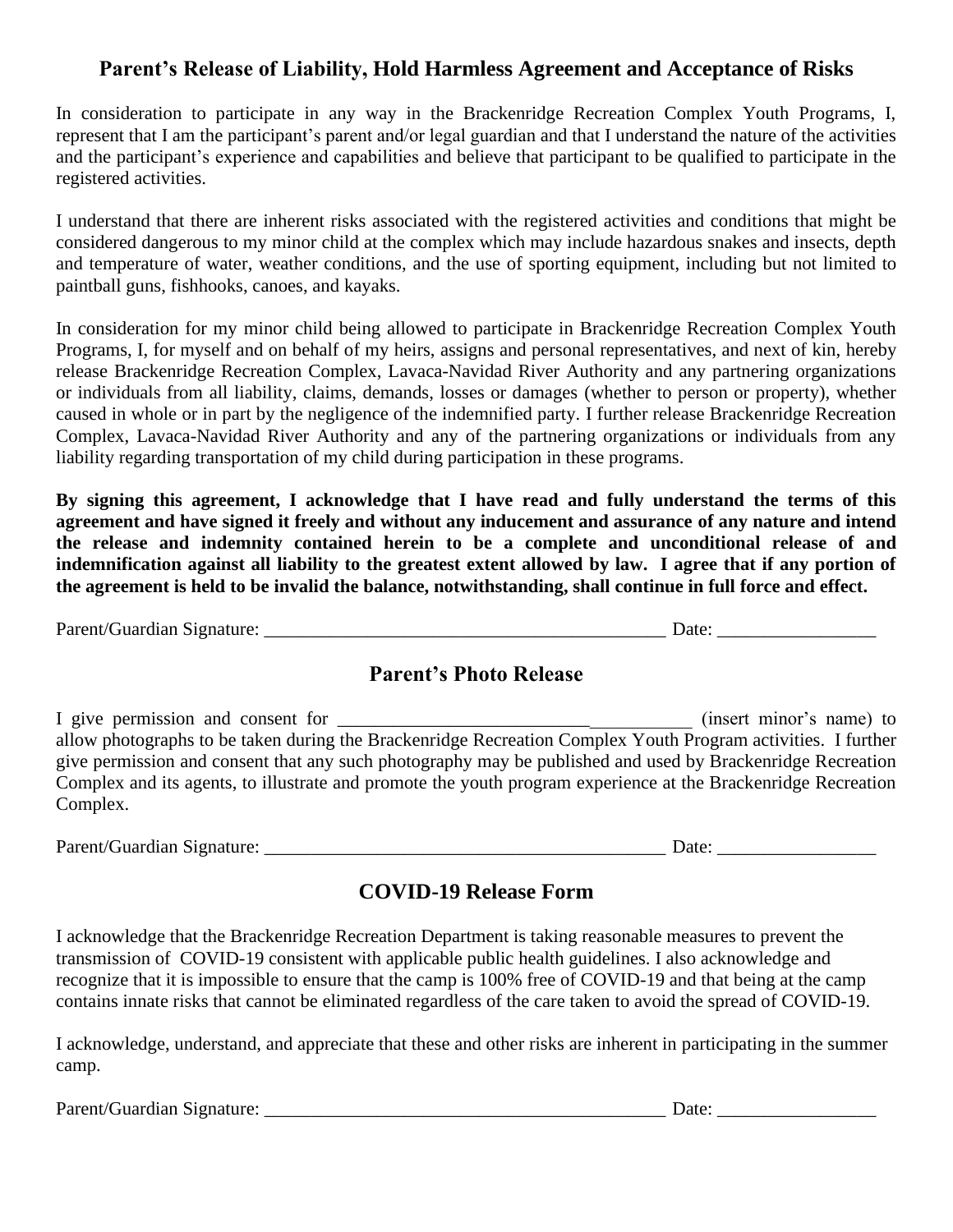## **Parent's Release of Liability, Hold Harmless Agreement and Acceptance of Risks**

In consideration to participate in any way in the Brackenridge Recreation Complex Youth Programs, I, represent that I am the participant's parent and/or legal guardian and that I understand the nature of the activities and the participant's experience and capabilities and believe that participant to be qualified to participate in the registered activities.

I understand that there are inherent risks associated with the registered activities and conditions that might be considered dangerous to my minor child at the complex which may include hazardous snakes and insects, depth and temperature of water, weather conditions, and the use of sporting equipment, including but not limited to paintball guns, fishhooks, canoes, and kayaks.

In consideration for my minor child being allowed to participate in Brackenridge Recreation Complex Youth Programs, I, for myself and on behalf of my heirs, assigns and personal representatives, and next of kin, hereby release Brackenridge Recreation Complex, Lavaca-Navidad River Authority and any partnering organizations or individuals from all liability, claims, demands, losses or damages (whether to person or property), whether caused in whole or in part by the negligence of the indemnified party. I further release Brackenridge Recreation Complex, Lavaca-Navidad River Authority and any of the partnering organizations or individuals from any liability regarding transportation of my child during participation in these programs.

**By signing this agreement, I acknowledge that I have read and fully understand the terms of this agreement and have signed it freely and without any inducement and assurance of any nature and intend the release and indemnity contained herein to be a complete and unconditional release of and indemnification against all liability to the greatest extent allowed by law. I agree that if any portion of the agreement is held to be invalid the balance, notwithstanding, shall continue in full force and effect.**

| Parent/Guardian Signature: | 10 t/ |
|----------------------------|-------|
|----------------------------|-------|

### **Parent's Photo Release**

I give permission and consent for \_\_\_\_\_\_\_\_\_\_\_\_\_\_\_\_\_\_\_\_\_\_\_\_\_\_\_\_\_\_\_\_\_\_\_\_\_\_ (insert minor's name) to allow photographs to be taken during the Brackenridge Recreation Complex Youth Program activities. I further give permission and consent that any such photography may be published and used by Brackenridge Recreation Complex and its agents, to illustrate and promote the youth program experience at the Brackenridge Recreation Complex.

Parent/Guardian Signature: \_\_\_\_\_\_\_\_\_\_\_\_\_\_\_\_\_\_\_\_\_\_\_\_\_\_\_\_\_\_\_\_\_\_\_\_\_\_\_\_\_\_\_ Date: \_\_\_\_\_\_\_\_\_\_\_\_\_\_\_\_\_

## **COVID-19 Release Form**

I acknowledge that the Brackenridge Recreation Department is taking reasonable measures to prevent the transmission of COVID-19 consistent with applicable public health guidelines. I also acknowledge and recognize that it is impossible to ensure that the camp is 100% free of COVID-19 and that being at the camp contains innate risks that cannot be eliminated regardless of the care taken to avoid the spread of COVID-19.

I acknowledge, understand, and appreciate that these and other risks are inherent in participating in the summer camp.

Parent/Guardian Signature: \_\_\_\_\_\_\_\_\_\_\_\_\_\_\_\_\_\_\_\_\_\_\_\_\_\_\_\_\_\_\_\_\_\_\_\_\_\_\_\_\_\_\_ Date: \_\_\_\_\_\_\_\_\_\_\_\_\_\_\_\_\_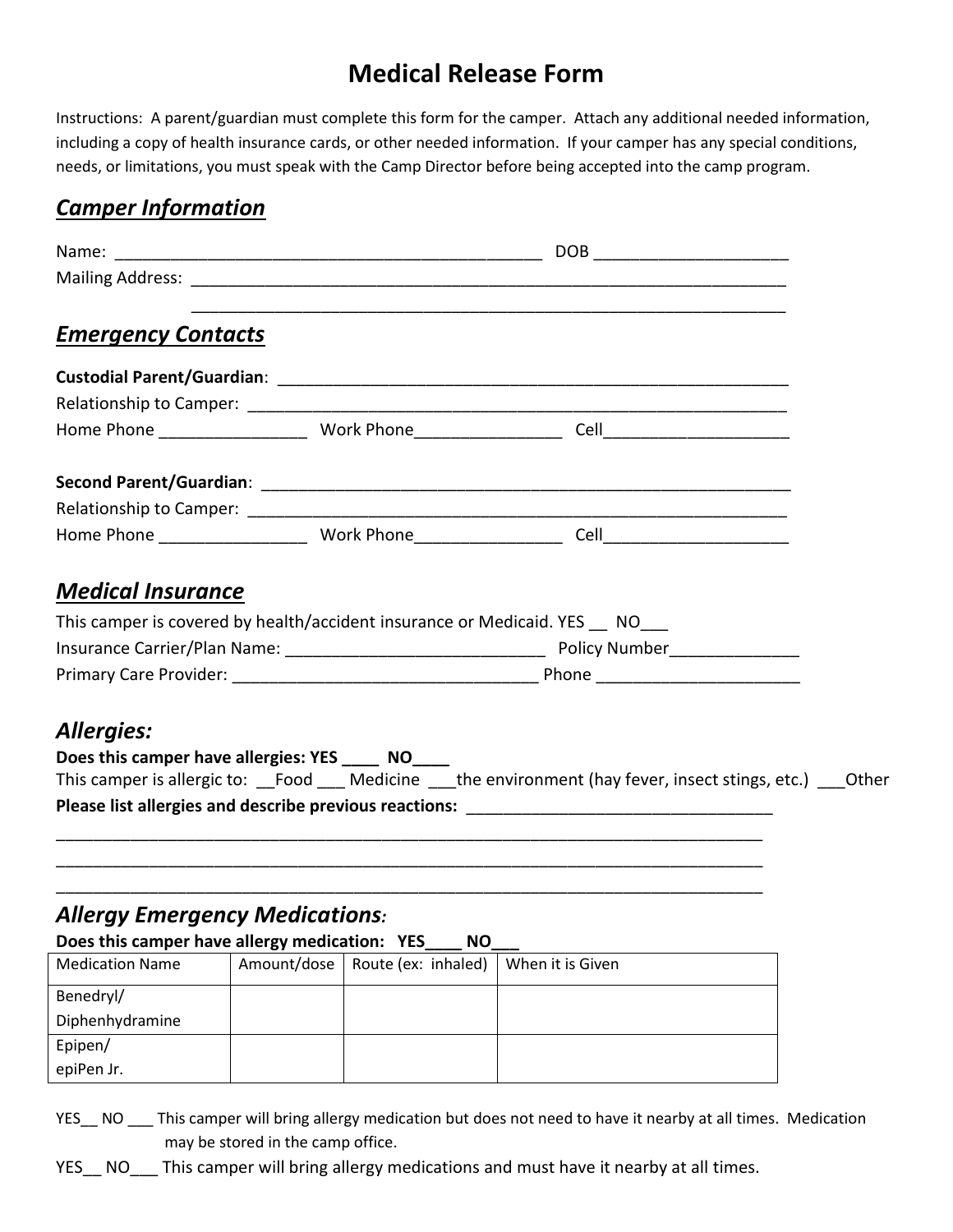# **Medical Release Form**

Instructions: A parent/guardian must complete this form for the camper. Attach any additional needed information, including a copy of health insurance cards, or other needed information. If your camper has any special conditions, needs, or limitations, you must speak with the Camp Director before being accepted into the camp program.

# *Camper Information*

| <b>Emergency Contacts</b>                                                                      |             |                     |                                                                                                                                                                                                                                       |  |
|------------------------------------------------------------------------------------------------|-------------|---------------------|---------------------------------------------------------------------------------------------------------------------------------------------------------------------------------------------------------------------------------------|--|
|                                                                                                |             |                     |                                                                                                                                                                                                                                       |  |
|                                                                                                |             |                     |                                                                                                                                                                                                                                       |  |
|                                                                                                |             |                     |                                                                                                                                                                                                                                       |  |
|                                                                                                |             |                     |                                                                                                                                                                                                                                       |  |
|                                                                                                |             |                     |                                                                                                                                                                                                                                       |  |
|                                                                                                |             |                     |                                                                                                                                                                                                                                       |  |
| <b>Medical Insurance</b>                                                                       |             |                     |                                                                                                                                                                                                                                       |  |
|                                                                                                |             |                     | This camper is covered by health/accident insurance or Medicaid. YES NO                                                                                                                                                               |  |
|                                                                                                |             |                     |                                                                                                                                                                                                                                       |  |
|                                                                                                |             |                     |                                                                                                                                                                                                                                       |  |
| <b>Allergies:</b><br>Does this camper have allergies: YES _____ NO____                         |             |                     | This camper is allergic to: __Food ___ Medicine ___the environment (hay fever, insect stings, etc.) ___Other<br><u> 1989 - Johann Barn, mars an deus an deus de la propinsie de la propinsie de la propinsie de la propinsie de l</u> |  |
| <b>Allergy Emergency Medications:</b><br>Does this camper have allergy medication: YES____ NO_ |             |                     | <u> 1989 - Johann Stoff, deutscher Stoff, der Stoff, der Stoff, der Stoff, der Stoff, der Stoff, der Stoff, der S</u>                                                                                                                 |  |
| <b>Medication Name</b>                                                                         | Amount/dose | Route (ex: inhaled) | When it is Given                                                                                                                                                                                                                      |  |
| Benedryl/                                                                                      |             |                     |                                                                                                                                                                                                                                       |  |
| Diphenhydramine                                                                                |             |                     |                                                                                                                                                                                                                                       |  |
| Epipen/                                                                                        |             |                     |                                                                                                                                                                                                                                       |  |
| epiPen Jr.                                                                                     |             |                     |                                                                                                                                                                                                                                       |  |

YES\_\_ NO \_\_\_ This camper will bring allergy medication but does not need to have it nearby at all times. Medication may be stored in the camp office.

YES\_\_ NO\_\_\_ This camper will bring allergy medications and must have it nearby at all times.